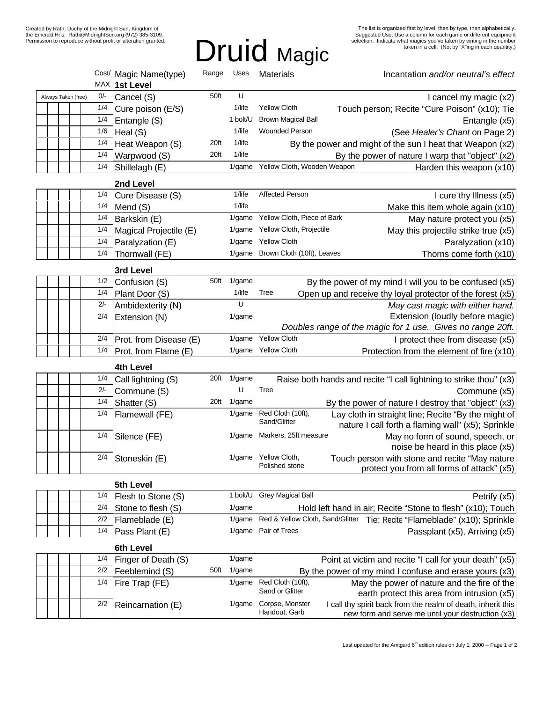# Druid Magic

|  |                     |  |  |       | Cost/ Magic Name(type)<br>MAX 1st Level | Range | Uses      | <b>Materials</b>                                                                                 | Incantation and/or neutral's effect                                                        |  |
|--|---------------------|--|--|-------|-----------------------------------------|-------|-----------|--------------------------------------------------------------------------------------------------|--------------------------------------------------------------------------------------------|--|
|  | Always Taken (free) |  |  | $0/-$ | Cancel (S)                              | 50ft  | U         |                                                                                                  | I cancel my magic (x2)                                                                     |  |
|  |                     |  |  | 1/4   | Cure poison (E/S)                       |       | 1/life    | <b>Yellow Cloth</b>                                                                              | Touch person; Recite "Cure Poison" (x10); Tie                                              |  |
|  |                     |  |  | 1/4   | Entangle (S)                            |       | 1 bolt/U  | <b>Brown Magical Ball</b>                                                                        | Entangle (x5)                                                                              |  |
|  |                     |  |  | 1/6   | Heal (S)                                |       | 1/life    | <b>Wounded Person</b>                                                                            | (See Healer's Chant on Page 2)                                                             |  |
|  |                     |  |  | 1/4   | Heat Weapon (S)                         | 20ft  | 1/life    | By the power and might of the sun I heat that Weapon (x2)                                        |                                                                                            |  |
|  |                     |  |  | 1/4   | Warpwood (S)                            | 20ft  | 1/life    | By the power of nature I warp that "object" (x2)                                                 |                                                                                            |  |
|  |                     |  |  | 1/4   | Shillelagh (E)                          |       | $1$ /game | Yellow Cloth, Wooden Weapon                                                                      | Harden this weapon (x10)                                                                   |  |
|  |                     |  |  |       | 2nd Level                               |       |           |                                                                                                  |                                                                                            |  |
|  |                     |  |  | 1/4   | Cure Disease (S)                        |       | 1/life    | Affected Person                                                                                  | I cure thy Illness (x5)                                                                    |  |
|  |                     |  |  | 1/4   | Mend (S)                                |       | 1/life    |                                                                                                  | Make this item whole again (x10)                                                           |  |
|  |                     |  |  | 1/4   | Barkskin (E)                            |       | $1$ /game | Yellow Cloth, Piece of Bark                                                                      | May nature protect you (x5)                                                                |  |
|  |                     |  |  | 1/4   | Magical Projectile (E)                  |       | 1/game    | Yellow Cloth, Projectile                                                                         | May this projectile strike true (x5)                                                       |  |
|  |                     |  |  | 1/4   | Paralyzation (E)                        |       | $1$ /game | <b>Yellow Cloth</b>                                                                              | Paralyzation (x10)                                                                         |  |
|  |                     |  |  | 1/4   | Thornwall (FE)                          |       | $1$ /game | Brown Cloth (10ft), Leaves                                                                       | Thorns come forth (x10)                                                                    |  |
|  |                     |  |  |       | 3rd Level                               |       |           |                                                                                                  |                                                                                            |  |
|  |                     |  |  | 1/2   | Confusion (S)                           | 50ft  | 1/game    | By the power of my mind I will you to be confused (x5)                                           |                                                                                            |  |
|  |                     |  |  | 1/4   | Plant Door (S)                          |       | 1/life    | Tree<br>Open up and receive thy loyal protector of the forest (x5)                               |                                                                                            |  |
|  |                     |  |  | 2/-   | Ambidexterity (N)                       |       | U         |                                                                                                  | May cast magic with either hand.                                                           |  |
|  |                     |  |  | 2/4   | Extension (N)                           |       | $1$ /game |                                                                                                  | Extension (loudly before magic)                                                            |  |
|  |                     |  |  |       |                                         |       |           | Doubles range of the magic for 1 use. Gives no range 20ft.                                       |                                                                                            |  |
|  |                     |  |  | 2/4   | Prot. from Disease (E)                  |       | $1$ /game | <b>Yellow Cloth</b>                                                                              | I protect thee from disease (x5)                                                           |  |
|  |                     |  |  | 1/4   | Prot. from Flame (E)                    |       |           | 1/game Yellow Cloth                                                                              | Protection from the element of fire (x10)                                                  |  |
|  |                     |  |  |       | 4th Level                               |       |           |                                                                                                  |                                                                                            |  |
|  |                     |  |  | 1/4   | Call lightning (S)                      | 20ft  | 1/game    | Raise both hands and recite "I call lightning to strike thou" (x3)                               |                                                                                            |  |
|  |                     |  |  | $2/-$ | Commune (S)                             |       | U         | Tree                                                                                             | Commune (x5)                                                                               |  |
|  |                     |  |  | 1/4   | Shatter (S)                             | 20ft  | 1/game    | By the power of nature I destroy that "object" (x3)                                              |                                                                                            |  |
|  |                     |  |  | 1/4   | Flamewall (FE)                          |       | 1/game    | Red Cloth (10ft),<br>Lay cloth in straight line; Recite "By the might of<br>Sand/Glitter         | nature I call forth a flaming wall" (x5); Sprinkle                                         |  |
|  |                     |  |  | 1/4   | Silence (FE)                            |       |           | 1/game Markers, 25ft measure                                                                     | May no form of sound, speech, or<br>noise be heard in this place (x5)                      |  |
|  |                     |  |  | 2/4   | Stoneskin (E)                           |       |           | 1/game Yellow Cloth,<br>Touch person with stone and recite "May nature<br>Polished stone         | protect you from all forms of attack" (x5)                                                 |  |
|  |                     |  |  |       | 5th Level                               |       |           |                                                                                                  |                                                                                            |  |
|  |                     |  |  | 1/4   | Flesh to Stone (S)                      |       | 1 bolt/U  | <b>Grey Magical Ball</b>                                                                         | Petrify (x5)                                                                               |  |
|  |                     |  |  | 2/4   | Stone to flesh (S)                      |       | $1$ /game | Hold left hand in air; Recite "Stone to flesh" (x10); Touch                                      |                                                                                            |  |
|  |                     |  |  | 2/2   | Flameblade (E)                          |       | 1/game    | Red & Yellow Cloth, Sand/Glitter Tie; Recite "Flameblade" (x10); Sprinkle                        |                                                                                            |  |
|  |                     |  |  | 1/4   | Pass Plant (E)                          |       | 1/game    | Pair of Trees                                                                                    | Passplant (x5), Arriving (x5)                                                              |  |
|  |                     |  |  |       | 6th Level                               |       |           |                                                                                                  |                                                                                            |  |
|  |                     |  |  | 1/4   | Finger of Death (S)                     |       | 1/game    | Point at victim and recite "I call for your death" (x5)                                          |                                                                                            |  |
|  |                     |  |  | 2/2   | Feeblemind (S)                          | 50ft  | 1/game    | By the power of my mind I confuse and erase yours $(x3)$                                         |                                                                                            |  |
|  |                     |  |  | 1/4   | Fire Trap (FE)                          |       | 1/game    | Red Cloth (10ft),<br>Sand or Glitter                                                             | May the power of nature and the fire of the<br>earth protect this area from intrusion (x5) |  |
|  |                     |  |  | 2/2   | Reincarnation (E)                       |       | 1/game    | Corpse, Monster<br>I call thy spirit back from the realm of death, inherit this<br>Handout, Garb | new form and serve me until your destruction (x3)                                          |  |